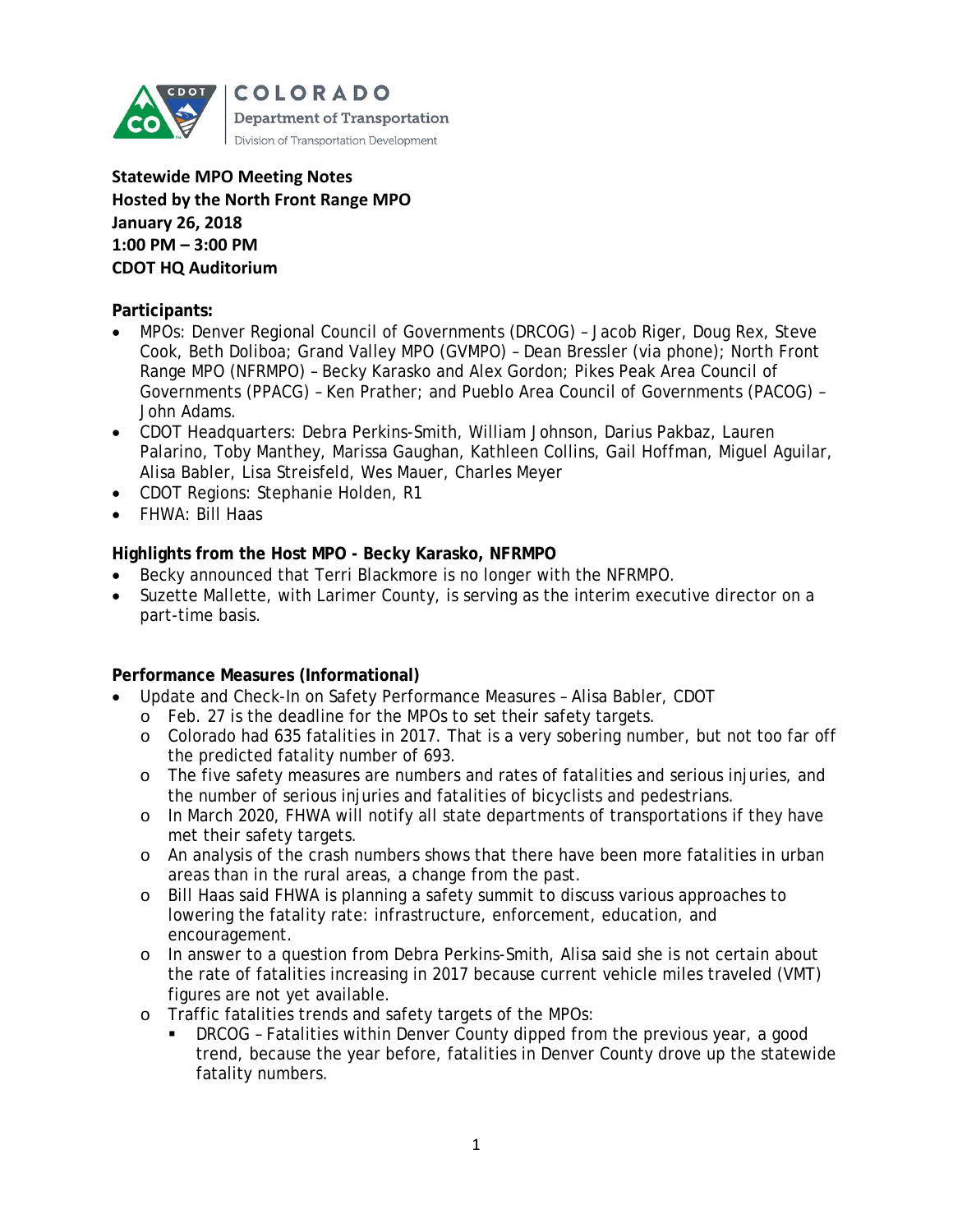

**Statewide MPO Meeting Notes Hosted by the North Front Range MPO January 26, 2018 1:00 PM – 3:00 PM CDOT HQ Auditorium**

#### **Participants:**

- MPOs: Denver Regional Council of Governments (DRCOG) Jacob Riger, Doug Rex, Steve Cook, Beth Doliboa; Grand Valley MPO (GVMPO) – Dean Bressler (via phone); North Front Range MPO (NFRMPO) – Becky Karasko and Alex Gordon; Pikes Peak Area Council of Governments (PPACG) – Ken Prather; and Pueblo Area Council of Governments (PACOG) – John Adams.
- CDOT Headquarters: Debra Perkins-Smith, William Johnson, Darius Pakbaz, Lauren Palarino, Toby Manthey, Marissa Gaughan, Kathleen Collins, Gail Hoffman, Miguel Aguilar, Alisa Babler, Lisa Streisfeld, Wes Mauer, Charles Meyer
- CDOT Regions: Stephanie Holden, R1
- FHWA: Bill Haas

#### **Highlights from the Host MPO - Becky Karasko, NFRMPO**

- Becky announced that Terri Blackmore is no longer with the NFRMPO.
- Suzette Mallette, with Larimer County, is serving as the interim executive director on a part-time basis.

### **Performance Measures (Informational)**

- Update and Check-In on Safety Performance Measures Alisa Babler, CDOT
	- o Feb. 27 is the deadline for the MPOs to set their safety targets.
	- o Colorado had 635 fatalities in 2017. That is a very sobering number, but not too far off the predicted fatality number of 693.
	- o The five safety measures are numbers and rates of fatalities and serious injuries, and the number of serious injuries and fatalities of bicyclists and pedestrians.
	- o In March 2020, FHWA will notify all state departments of transportations if they have met their safety targets.
	- o An analysis of the crash numbers shows that there have been more fatalities in urban areas than in the rural areas, a change from the past.
	- o Bill Haas said FHWA is planning a safety summit to discuss various approaches to lowering the fatality rate: infrastructure, enforcement, education, and encouragement.
	- o In answer to a question from Debra Perkins-Smith, Alisa said she is not certain about the rate of fatalities increasing in 2017 because current vehicle miles traveled (VMT) figures are not yet available.
	- o Traffic fatalities trends and safety targets of the MPOs:
		- DRCOG Fatalities within Denver County dipped from the previous year, a good trend, because the year before, fatalities in Denver County drove up the statewide fatality numbers.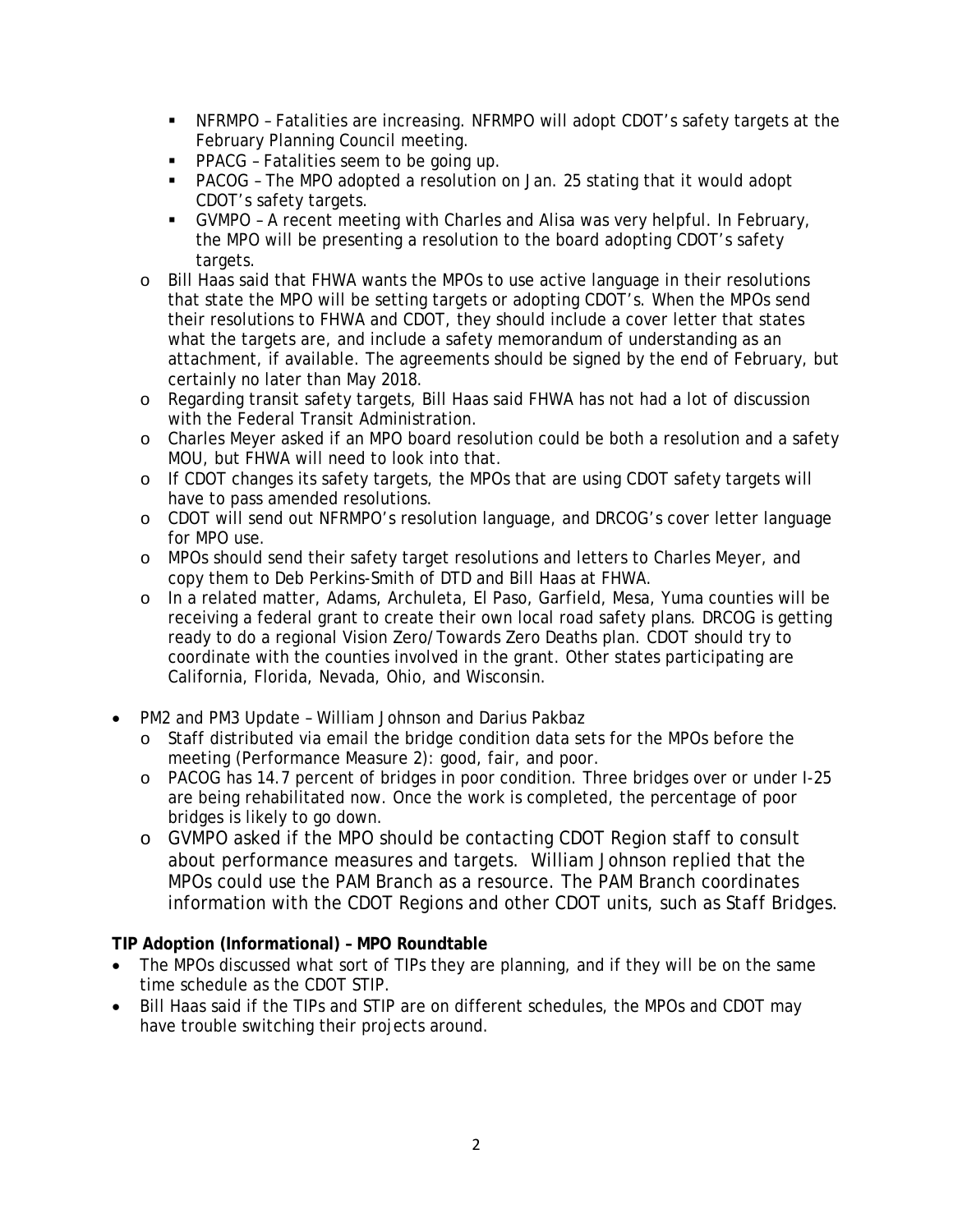- NFRMPO Fatalities are increasing. NFRMPO will adopt CDOT's safety targets at the February Planning Council meeting.
- **PPACG** Fatalities seem to be going up.
- PACOG The MPO adopted a resolution on Jan. 25 stating that it would adopt CDOT's safety targets.
- GVMPO A recent meeting with Charles and Alisa was very helpful. In February, the MPO will be presenting a resolution to the board adopting CDOT's safety targets.
- o Bill Haas said that FHWA wants the MPOs to use active language in their resolutions that state the MPO will be setting targets or adopting CDOT's. When the MPOs send their resolutions to FHWA and CDOT, they should include a cover letter that states what the targets are, and include a safety memorandum of understanding as an attachment, if available. The agreements should be signed by the end of February, but certainly no later than May 2018.
- o Regarding transit safety targets, Bill Haas said FHWA has not had a lot of discussion with the Federal Transit Administration.
- o Charles Meyer asked if an MPO board resolution could be both a resolution and a safety MOU, but FHWA will need to look into that.
- o If CDOT changes its safety targets, the MPOs that are using CDOT safety targets will have to pass amended resolutions.
- o CDOT will send out NFRMPO's resolution language, and DRCOG's cover letter language for MPO use.
- o MPOs should send their safety target resolutions and letters to Charles Meyer, and copy them to Deb Perkins-Smith of DTD and Bill Haas at FHWA.
- o In a related matter, Adams, Archuleta, El Paso, Garfield, Mesa, Yuma counties will be receiving a federal grant to create their own local road safety plans. DRCOG is getting ready to do a regional Vision Zero/Towards Zero Deaths plan. CDOT should try to coordinate with the counties involved in the grant. Other states participating are California, Florida, Nevada, Ohio, and Wisconsin.
- PM2 and PM3 Update William Johnson and Darius Pakbaz
	- o Staff distributed via email the bridge condition data sets for the MPOs before the meeting (Performance Measure 2): good, fair, and poor.
	- o PACOG has 14.7 percent of bridges in poor condition. Three bridges over or under I-25 are being rehabilitated now. Once the work is completed, the percentage of poor bridges is likely to go down.
	- o GVMPO asked if the MPO should be contacting CDOT Region staff to consult about performance measures and targets. William Johnson replied that the MPOs could use the PAM Branch as a resource. The PAM Branch coordinates information with the CDOT Regions and other CDOT units, such as Staff Bridges.

# **TIP Adoption (Informational) – MPO Roundtable**

- The MPOs discussed what sort of TIPs they are planning, and if they will be on the same time schedule as the CDOT STIP.
- Bill Haas said if the TIPs and STIP are on different schedules, the MPOs and CDOT may have trouble switching their projects around.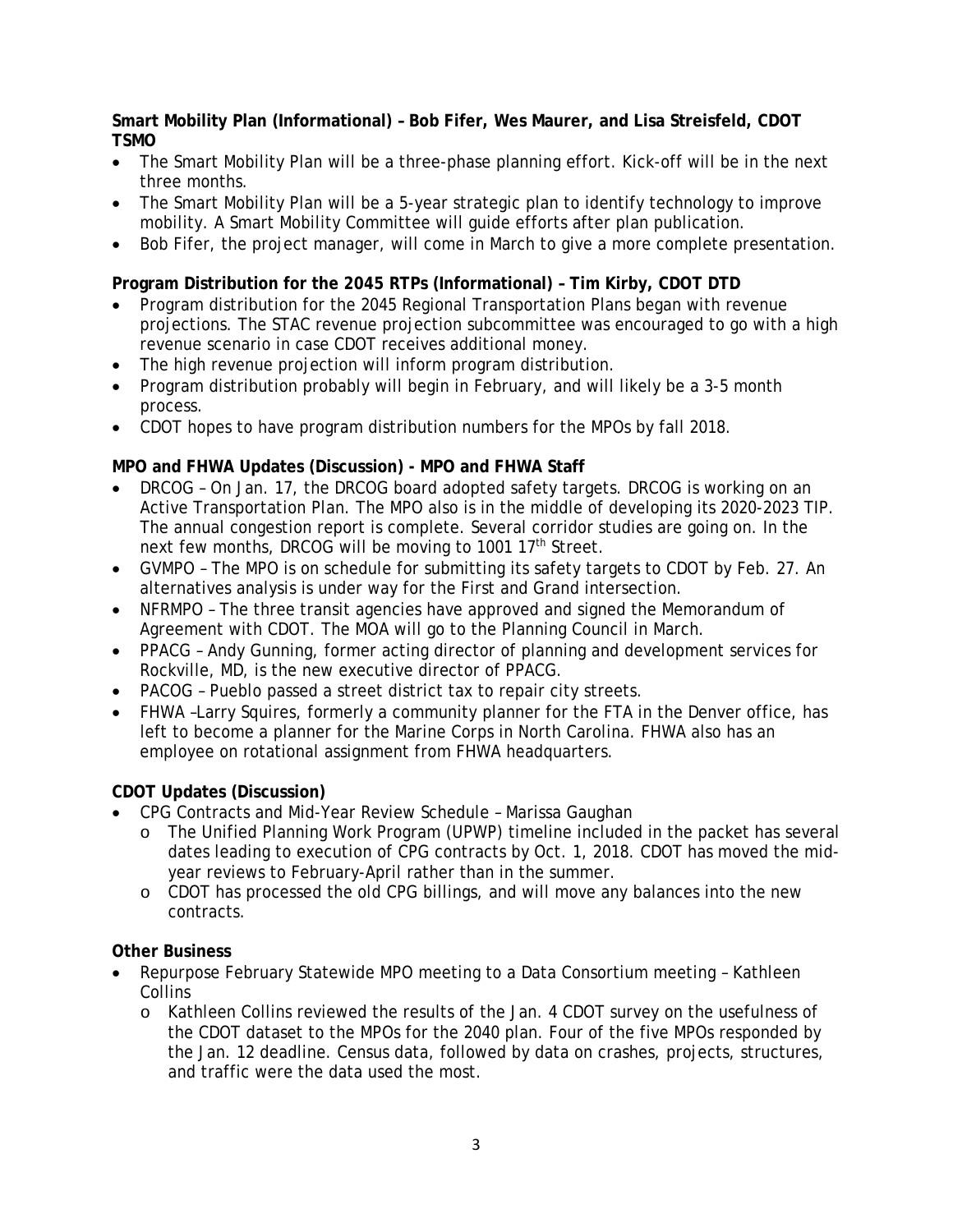## **Smart Mobility Plan (Informational) – Bob Fifer, Wes Maurer, and Lisa Streisfeld, CDOT TSMO**

- The Smart Mobility Plan will be a three-phase planning effort. Kick-off will be in the next three months.
- The Smart Mobility Plan will be a 5-year strategic plan to identify technology to improve mobility. A Smart Mobility Committee will guide efforts after plan publication.
- Bob Fifer, the project manager, will come in March to give a more complete presentation.

# **Program Distribution for the 2045 RTPs (Informational) – Tim Kirby, CDOT DTD**

- Program distribution for the 2045 Regional Transportation Plans began with revenue projections. The STAC revenue projection subcommittee was encouraged to go with a high revenue scenario in case CDOT receives additional money.
- The high revenue projection will inform program distribution.
- Program distribution probably will begin in February, and will likely be a 3-5 month process.
- CDOT hopes to have program distribution numbers for the MPOs by fall 2018.

# **MPO and FHWA Updates (Discussion) - MPO and FHWA Staff**

- DRCOG On Jan. 17, the DRCOG board adopted safety targets. DRCOG is working on an Active Transportation Plan. The MPO also is in the middle of developing its 2020-2023 TIP. The annual congestion report is complete. Several corridor studies are going on. In the next few months, DRCOG will be moving to 1001 17<sup>th</sup> Street.
- GVMPO The MPO is on schedule for submitting its safety targets to CDOT by Feb. 27. An alternatives analysis is under way for the First and Grand intersection.
- NFRMPO The three transit agencies have approved and signed the Memorandum of Agreement with CDOT. The MOA will go to the Planning Council in March.
- PPACG Andy Gunning, former acting director of planning and development services for Rockville, MD, is the new executive director of PPACG.
- PACOG Pueblo passed a street district tax to repair city streets.
- FHWA –Larry Squires, formerly a community planner for the FTA in the Denver office, has left to become a planner for the Marine Corps in North Carolina. FHWA also has an employee on rotational assignment from FHWA headquarters.

### **CDOT Updates (Discussion)**

- CPG Contracts and Mid-Year Review Schedule Marissa Gaughan
	- o The Unified Planning Work Program (UPWP) timeline included in the packet has several dates leading to execution of CPG contracts by Oct. 1, 2018. CDOT has moved the midyear reviews to February-April rather than in the summer.
	- o CDOT has processed the old CPG billings, and will move any balances into the new contracts.

### **Other Business**

- Repurpose February Statewide MPO meeting to a Data Consortium meeting Kathleen **Collins** 
	- o Kathleen Collins reviewed the results of the Jan. 4 CDOT survey on the usefulness of the CDOT dataset to the MPOs for the 2040 plan. Four of the five MPOs responded by the Jan. 12 deadline. Census data, followed by data on crashes, projects, structures, and traffic were the data used the most.